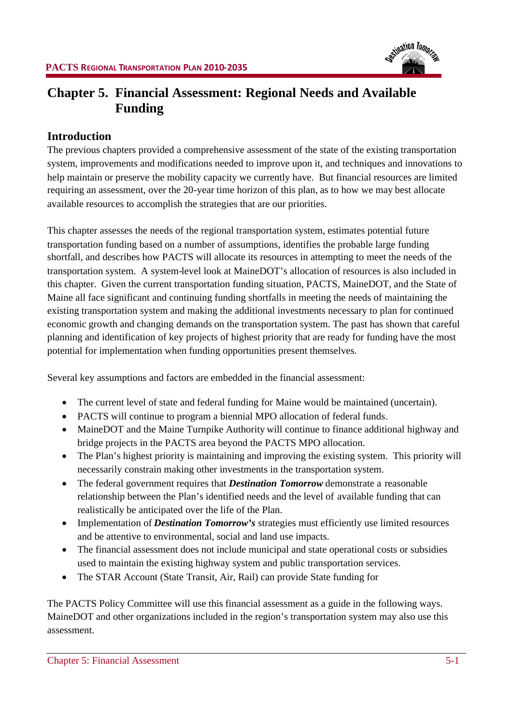

# **Chapter 5. Financial Assessment: Regional Needs and Available Funding**

### **Introduction**

The previous chapters provided a comprehensive assessment of the state of the existing transportation system, improvements and modifications needed to improve upon it, and techniques and innovations to help maintain or preserve the mobility capacity we currently have. But financial resources are limited requiring an assessment, over the 20-year time horizon of this plan, as to how we may best allocate available resources to accomplish the strategies that are our priorities.

This chapter assesses the needs of the regional transportation system, estimates potential future transportation funding based on a number of assumptions, identifies the probable large funding shortfall, and describes how PACTS will allocate its resources in attempting to meet the needs of the transportation system. A system-level look at MaineDOT's allocation of resources is also included in this chapter. Given the current transportation funding situation, PACTS, MaineDOT, and the State of Maine all face significant and continuing funding shortfalls in meeting the needs of maintaining the existing transportation system and making the additional investments necessary to plan for continued economic growth and changing demands on the transportation system. The past has shown that careful planning and identification of key projects of highest priority that are ready for funding have the most potential for implementation when funding opportunities present themselves.

Several key assumptions and factors are embedded in the financial assessment:

- The current level of state and federal funding for Maine would be maintained (uncertain).
- PACTS will continue to program a biennial MPO allocation of federal funds.
- MaineDOT and the Maine Turnpike Authority will continue to finance additional highway and bridge projects in the PACTS area beyond the PACTS MPO allocation.
- The Plan's highest priority is maintaining and improving the existing system. This priority will necessarily constrain making other investments in the transportation system.
- The federal government requires that *Destination Tomorrow* demonstrate a reasonable relationship between the Plan's identified needs and the level of available funding that can realistically be anticipated over the life of the Plan.
- Implementation of *Destination Tomorrow's* strategies must efficiently use limited resources and be attentive to environmental, social and land use impacts.
- The financial assessment does not include municipal and state operational costs or subsidies used to maintain the existing highway system and public transportation services.
- The STAR Account (State Transit, Air, Rail) can provide State funding for

The PACTS Policy Committee will use this financial assessment as a guide in the following ways. MaineDOT and other organizations included in the region's transportation system may also use this assessment.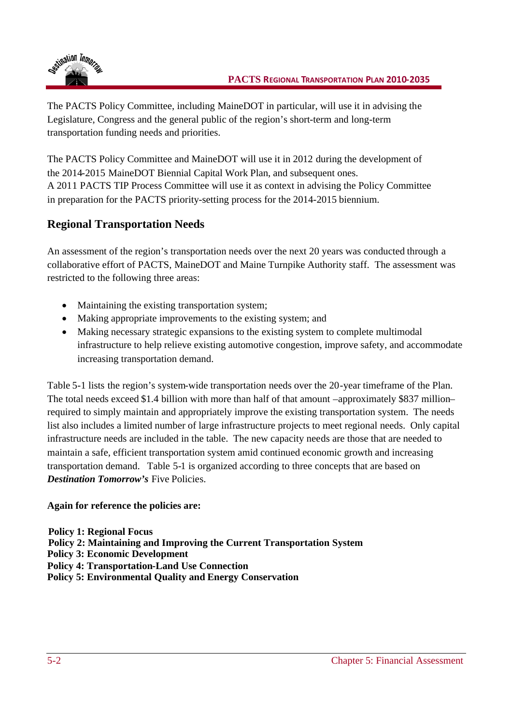

The PACTS Policy Committee, including MaineDOT in particular, will use it in advising the Legislature, Congress and the general public of the region's short-term and long-term transportation funding needs and priorities.

The PACTS Policy Committee and MaineDOT will use it in 2012 during the development of the 2014-2015 MaineDOT Biennial Capital Work Plan, and subsequent ones. A 2011 PACTS TIP Process Committee will use it as context in advising the Policy Committee in preparation for the PACTS priority-setting process for the 2014-2015 biennium.

## **Regional Transportation Needs**

An assessment of the region's transportation needs over the next 20 years was conducted through a collaborative effort of PACTS, MaineDOT and Maine Turnpike Authority staff. The assessment was restricted to the following three areas:

- Maintaining the existing transportation system;
- Making appropriate improvements to the existing system; and
- Making necessary strategic expansions to the existing system to complete multimodal infrastructure to help relieve existing automotive congestion, improve safety, and accommodate increasing transportation demand.

Table 5-1 lists the region's system-wide transportation needs over the 20-year timeframe of the Plan. The total needs exceed \$1.4 billion with more than half of that amount –approximately \$837 million– required to simply maintain and appropriately improve the existing transportation system. The needs list also includes a limited number of large infrastructure projects to meet regional needs. Only capital infrastructure needs are included in the table. The new capacity needs are those that are needed to maintain a safe, efficient transportation system amid continued economic growth and increasing transportation demand. Table 5-1 is organized according to three concepts that are based on *Destination Tomorrow's* Five Policies.

### **Again for reference the policies are:**

**Policy 1: Regional Focus**

- **Policy 2: Maintaining and Improving the Current Transportation System**
- **Policy 3: Economic Development**
- **Policy 4: Transportation-Land Use Connection**
- **Policy 5: Environmental Quality and Energy Conservation**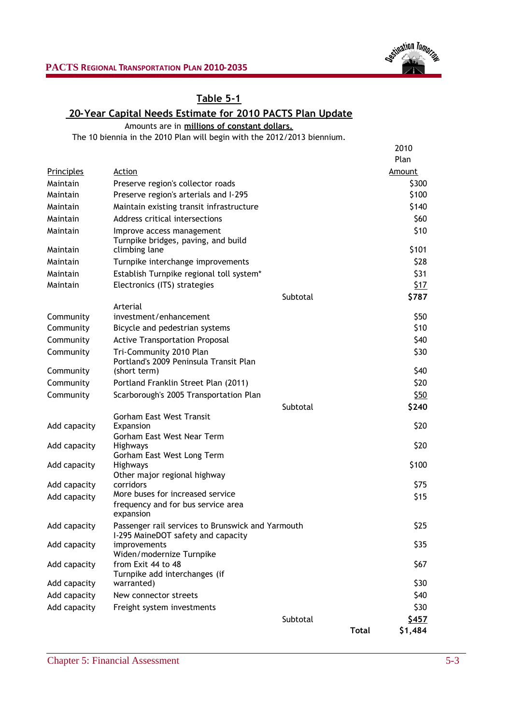

### **Table 5-1**

# **20-Year Capital Needs Estimate for 2010 PACTS Plan Update**

Amounts are in **millions of constant dollars.**

The 10 biennia in the 2010 Plan will begin with the 2012/2013 biennium.

|                   |                                                                                         |              | 2010          |
|-------------------|-----------------------------------------------------------------------------------------|--------------|---------------|
|                   |                                                                                         |              | Plan          |
| <b>Principles</b> | Action                                                                                  |              | <b>Amount</b> |
| Maintain          | Preserve region's collector roads                                                       |              | \$300         |
| Maintain          | Preserve region's arterials and I-295                                                   |              | \$100         |
| Maintain          | Maintain existing transit infrastructure                                                |              | \$140         |
| Maintain          | Address critical intersections                                                          |              | \$60          |
| Maintain          | Improve access management<br>Turnpike bridges, paving, and build                        |              | \$10          |
| Maintain          | climbing lane                                                                           |              | \$101         |
| Maintain          | Turnpike interchange improvements                                                       |              | \$28          |
| Maintain          | Establish Turnpike regional toll system*                                                |              | \$31          |
| Maintain          | Electronics (ITS) strategies                                                            |              | <u>\$17</u>   |
|                   | Subtotal                                                                                |              | \$787         |
| Community         | Arterial<br>investment/enhancement                                                      |              | \$50          |
| Community         | Bicycle and pedestrian systems                                                          |              | \$10          |
| Community         | <b>Active Transportation Proposal</b>                                                   |              | \$40          |
| Community         | Tri-Community 2010 Plan                                                                 |              | \$30          |
|                   | Portland's 2009 Peninsula Transit Plan                                                  |              |               |
| Community         | (short term)                                                                            |              | \$40          |
| Community         | Portland Franklin Street Plan (2011)                                                    |              | \$20          |
| Community         | Scarborough's 2005 Transportation Plan                                                  |              | \$50          |
|                   | Subtotal                                                                                |              | \$240         |
|                   | <b>Gorham East West Transit</b>                                                         |              |               |
| Add capacity      | Expansion                                                                               |              | \$20          |
| Add capacity      | Gorham East West Near Term<br>Highways                                                  |              | \$20          |
|                   | Gorham East West Long Term                                                              |              |               |
| Add capacity      | Highways                                                                                |              | \$100         |
|                   | Other major regional highway                                                            |              |               |
| Add capacity      | corridors                                                                               |              | \$75          |
| Add capacity      | More buses for increased service<br>frequency and for bus service area                  |              | \$15          |
|                   | expansion                                                                               |              |               |
| Add capacity      | Passenger rail services to Brunswick and Yarmouth<br>I-295 MaineDOT safety and capacity |              | \$25          |
| Add capacity      | improvements<br>Widen/modernize Turnpike                                                |              | \$35          |
| Add capacity      | from Exit 44 to 48<br>Turnpike add interchanges (if                                     |              | \$67          |
| Add capacity      | warranted)                                                                              |              | \$30          |
| Add capacity      | New connector streets                                                                   |              | \$40          |
| Add capacity      | Freight system investments                                                              |              | \$30          |
|                   | Subtotal                                                                                |              | <u>\$457</u>  |
|                   |                                                                                         | <b>Total</b> | \$1,484       |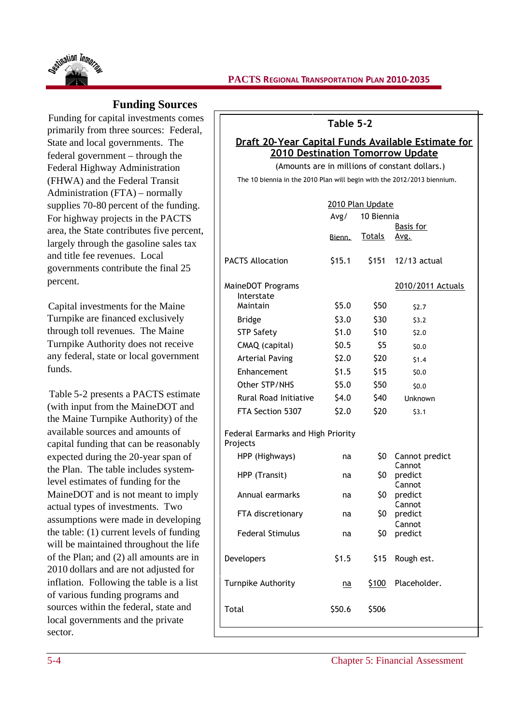

### **Funding Sources**

Funding for capital investments comes primarily from three sources: Federal, State and local governments. The federal government – through the Federal Highway Administration (FHWA) and the Federal Transit Administration (FTA) – normally supplies 70-80 percent of the funding. For highway projects in the PACTS area, the State contributes five percent, largely through the gasoline sales tax and title fee revenues. Local governments contribute the final 25 percent.

Capital investments for the Maine Turnpike are financed exclusively through toll revenues. The Maine Turnpike Authority does not receive any federal, state or local government funds.

Table 5-2 presents a PACTS estimate (with input from the MaineDOT and the Maine Turnpike Authority) of the available sources and amounts of capital funding that can be reasonably expected during the 20-year span of the Plan. The table includes systemlevel estimates of funding for the MaineDOT and is not meant to imply actual types of investments. Two assumptions were made in developing the table: (1) current levels of funding will be maintained throughout the life of the Plan; and (2) all amounts are in 2010 dollars and are not adjusted for inflation. Following the table is a list of various funding programs and sources within the federal, state and local governments and the private sector.

### **Table 5-2**

### **Draft 20-Year Capital Funds Available Estimate for 2010 Destination Tomorrow Update**

(Amounts are in millions of constant dollars.) The 10 biennia in the 2010 Plan will begin with the 2012/2013 biennium.

|                                                | Avg/   | 2010 Plan Update<br>10 Biennia |                             |  |  |
|------------------------------------------------|--------|--------------------------------|-----------------------------|--|--|
|                                                | Bienn. | <u>Totals</u>                  | Basis for<br><u>Avg.</u>    |  |  |
| <b>PACTS Allocation</b>                        | \$15.1 | \$151                          | $12/13$ actual              |  |  |
| MaineDOT Programs<br>Interstate                |        |                                | 2010/2011 Actuals           |  |  |
| Maintain                                       | \$5.0  | \$50                           | \$2.7                       |  |  |
| <b>Bridge</b>                                  | \$3.0  | \$30                           | 53.2                        |  |  |
| <b>STP Safety</b>                              | \$1.0  | \$10                           | \$2.0                       |  |  |
| CMAQ (capital)                                 | \$0.5  | \$5                            | \$0.0                       |  |  |
| <b>Arterial Paving</b>                         | \$2.0  | \$20                           | \$1.4                       |  |  |
| Enhancement                                    | \$1.5  | \$15                           | \$0.0                       |  |  |
| Other STP/NHS                                  | \$5.0  | \$50                           | \$0.0                       |  |  |
| <b>Rural Road Initiative</b>                   | 54.0   | \$40                           | Unknown                     |  |  |
| FTA Section 5307                               | \$2.0  | \$20                           | 53.1                        |  |  |
| Federal Earmarks and High Priority<br>Projects |        |                                |                             |  |  |
| HPP (Highways)                                 | na     | \$0                            | Cannot predict              |  |  |
| HPP (Transit)                                  | na     | \$0                            | Cannot<br>predict<br>Cannot |  |  |
| Annual earmarks                                | na     | \$0                            | predict                     |  |  |
| FTA discretionary                              | na     | SO.                            | Cannot<br>predict           |  |  |
| <b>Federal Stimulus</b>                        | na     | \$0                            | Cannot<br>predict           |  |  |
| Developers                                     | \$1.5  | \$15                           | Rough est.                  |  |  |
| Turnpike Authority                             | na     | S100                           | Placeholder.                |  |  |
| Total                                          | \$50.6 | \$506                          |                             |  |  |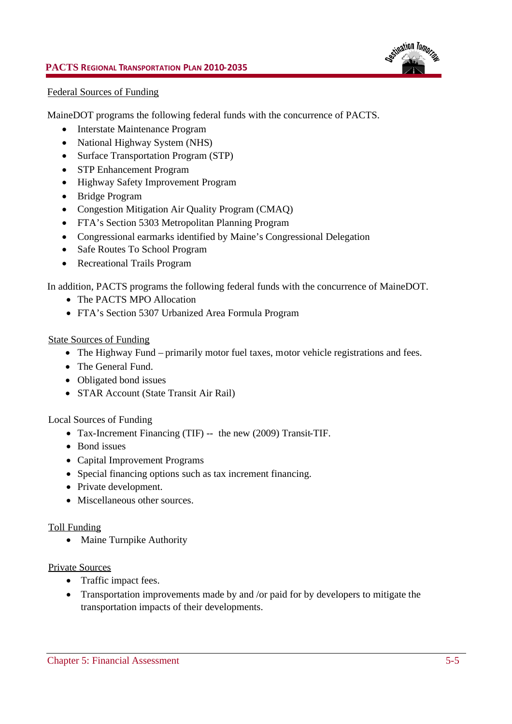

#### Federal Sources of Funding

MaineDOT programs the following federal funds with the concurrence of PACTS.

- Interstate Maintenance Program
- National Highway System (NHS)
- Surface Transportation Program (STP)
- STP Enhancement Program
- Highway Safety Improvement Program
- Bridge Program
- Congestion Mitigation Air Quality Program (CMAQ)
- FTA's Section 5303 Metropolitan Planning Program
- Congressional earmarks identified by Maine's Congressional Delegation
- Safe Routes To School Program
- Recreational Trails Program

In addition, PACTS programs the following federal funds with the concurrence of MaineDOT.

- The PACTS MPO Allocation
- FTA's Section 5307 Urbanized Area Formula Program

#### State Sources of Funding

- The Highway Fund primarily motor fuel taxes, motor vehicle registrations and fees.
- The General Fund.
- Obligated bond issues
- STAR Account (State Transit Air Rail)

Local Sources of Funding

- Tax-Increment Financing (TIF) -- the new (2009) Transit-TIF.
- Bond issues
- Capital Improvement Programs
- Special financing options such as tax increment financing.
- Private development.
- Miscellaneous other sources.

#### Toll Funding

• Maine Turnpike Authority

#### Private Sources

- Traffic impact fees.
- Transportation improvements made by and /or paid for by developers to mitigate the transportation impacts of their developments.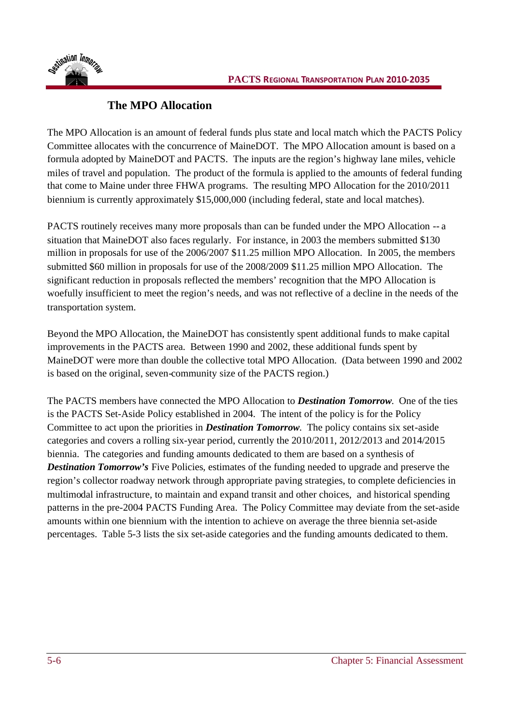



## **The MPO Allocation**

The MPO Allocation is an amount of federal funds plus state and local match which the PACTS Policy Committee allocates with the concurrence of MaineDOT. The MPO Allocation amount is based on a formula adopted by MaineDOT and PACTS. The inputs are the region's highway lane miles, vehicle miles of travel and population. The product of the formula is applied to the amounts of federal funding that come to Maine under three FHWA programs. The resulting MPO Allocation for the 2010/2011 biennium is currently approximately \$15,000,000 (including federal, state and local matches).

PACTS routinely receives many more proposals than can be funded under the MPO Allocation -- a situation that MaineDOT also faces regularly. For instance, in 2003 the members submitted \$130 million in proposals for use of the 2006/2007 \$11.25 million MPO Allocation. In 2005, the members submitted \$60 million in proposals for use of the 2008/2009 \$11.25 million MPO Allocation. The significant reduction in proposals reflected the members' recognition that the MPO Allocation is woefully insufficient to meet the region's needs, and was not reflective of a decline in the needs of the transportation system.

Beyond the MPO Allocation, the MaineDOT has consistently spent additional funds to make capital improvements in the PACTS area. Between 1990 and 2002, these additional funds spent by MaineDOT were more than double the collective total MPO Allocation. (Data between 1990 and 2002 is based on the original, seven-community size of the PACTS region.)

The PACTS members have connected the MPO Allocation to *Destination Tomorrow*. One of the ties is the PACTS Set-Aside Policy established in 2004. The intent of the policy is for the Policy Committee to act upon the priorities in *Destination Tomorrow*. The policy contains six set-aside categories and covers a rolling six-year period, currently the 2010/2011, 2012/2013 and 2014/2015 biennia. The categories and funding amounts dedicated to them are based on a synthesis of *Destination Tomorrow's* Five Policies, estimates of the funding needed to upgrade and preserve the region's collector roadway network through appropriate paving strategies, to complete deficiencies in multimodal infrastructure, to maintain and expand transit and other choices, and historical spending patterns in the pre-2004 PACTS Funding Area. The Policy Committee may deviate from the set-aside amounts within one biennium with the intention to achieve on average the three biennia set-aside percentages. Table 5-3 lists the six set-aside categories and the funding amounts dedicated to them.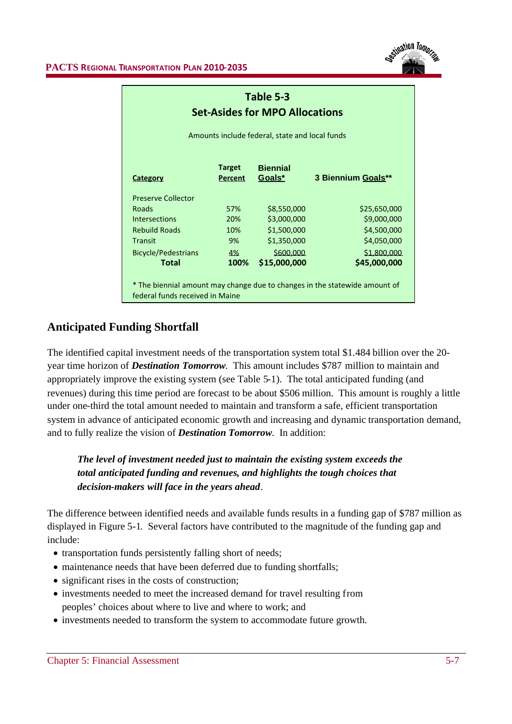

| Table 5-3<br><b>Set-Asides for MPO Allocations</b>                                                            |                          |                           |                    |  |  |  |  |  |
|---------------------------------------------------------------------------------------------------------------|--------------------------|---------------------------|--------------------|--|--|--|--|--|
| Amounts include federal, state and local funds                                                                |                          |                           |                    |  |  |  |  |  |
| <b>Category</b>                                                                                               | <b>Target</b><br>Percent | <b>Biennial</b><br>Goals* | 3 Biennium Goals** |  |  |  |  |  |
| <b>Preserve Collector</b>                                                                                     |                          |                           |                    |  |  |  |  |  |
| Roads                                                                                                         | 57%                      | \$8,550,000               | \$25,650,000       |  |  |  |  |  |
| <b>Intersections</b>                                                                                          | 20%                      | \$3,000,000               | \$9,000,000        |  |  |  |  |  |
| <b>Rebuild Roads</b>                                                                                          | 10%                      | \$1,500,000               | \$4,500,000        |  |  |  |  |  |
| <b>Transit</b>                                                                                                | 9%                       | \$1,350,000               | \$4,050,000        |  |  |  |  |  |
| <b>Bicycle/Pedestrians</b>                                                                                    | 4%                       | \$600,000                 | \$1,800,000        |  |  |  |  |  |
| Total                                                                                                         | 100%                     | \$15,000,000              | \$45,000,000       |  |  |  |  |  |
| * The biennial amount may change due to changes in the statewide amount of<br>federal funds received in Maine |                          |                           |                    |  |  |  |  |  |

## **Anticipated Funding Shortfall**

The identified capital investment needs of the transportation system total \$1.484 billion over the 20 year time horizon of *Destination Tomorrow*. This amount includes \$787 million to maintain and appropriately improve the existing system (see Table 5-1). The total anticipated funding (and revenues) during this time period are forecast to be about \$506 million. This amount is roughly a little under one-third the total amount needed to maintain and transform a safe, efficient transportation system in advance of anticipated economic growth and increasing and dynamic transportation demand, and to fully realize the vision of *Destination Tomorrow*. In addition:

*The level of investment needed just to maintain the existing system exceeds the total anticipated funding and revenues, and highlights the tough choices that decision-makers will face in the years ahead.*

The difference between identified needs and available funds results in a funding gap of \$787 million as displayed in Figure 5-1. Several factors have contributed to the magnitude of the funding gap and include:

- transportation funds persistently falling short of needs;
- maintenance needs that have been deferred due to funding shortfalls;
- significant rises in the costs of construction;
- investments needed to meet the increased demand for travel resulting from peoples' choices about where to live and where to work; and
- investments needed to transform the system to accommodate future growth.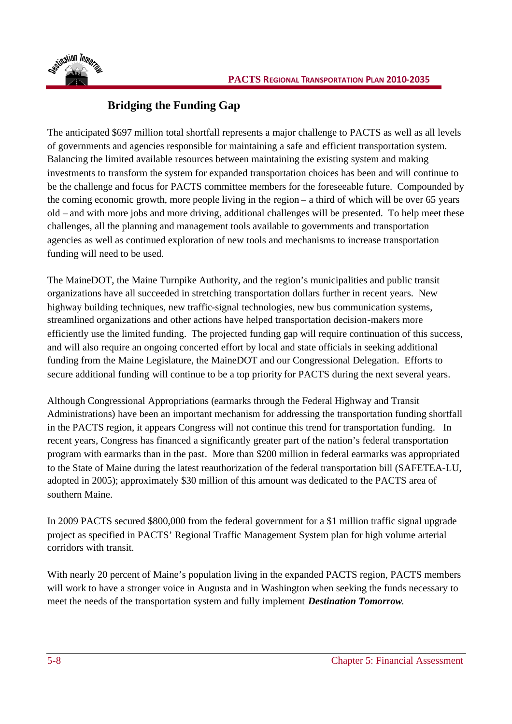

# **Bridging the Funding Gap**

The anticipated \$697 million total shortfall represents a major challenge to PACTS as well as all levels of governments and agencies responsible for maintaining a safe and efficient transportation system. Balancing the limited available resources between maintaining the existing system and making investments to transform the system for expanded transportation choices has been and will continue to be the challenge and focus for PACTS committee members for the foreseeable future. Compounded by the coming economic growth, more people living in the region – a third of which will be over 65 years old – and with more jobs and more driving, additional challenges will be presented. To help meet these challenges, all the planning and management tools available to governments and transportation agencies as well as continued exploration of new tools and mechanisms to increase transportation funding will need to be used.

The MaineDOT, the Maine Turnpike Authority, and the region's municipalities and public transit organizations have all succeeded in stretching transportation dollars further in recent years. New highway building techniques, new traffic-signal technologies, new bus communication systems, streamlined organizations and other actions have helped transportation decision-makers more efficiently use the limited funding. The projected funding gap will require continuation of this success, and will also require an ongoing concerted effort by local and state officials in seeking additional funding from the Maine Legislature, the MaineDOT and our Congressional Delegation. Efforts to secure additional funding will continue to be a top priority for PACTS during the next several years.

Although Congressional Appropriations (earmarks through the Federal Highway and Transit Administrations) have been an important mechanism for addressing the transportation funding shortfall in the PACTS region, it appears Congress will not continue this trend for transportation funding. In recent years, Congress has financed a significantly greater part of the nation's federal transportation program with earmarks than in the past. More than \$200 million in federal earmarks was appropriated to the State of Maine during the latest reauthorization of the federal transportation bill (SAFETEA-LU, adopted in 2005); approximately \$30 million of this amount was dedicated to the PACTS area of southern Maine.

In 2009 PACTS secured \$800,000 from the federal government for a \$1 million traffic signal upgrade project as specified in PACTS' Regional Traffic Management System plan for high volume arterial corridors with transit.

With nearly 20 percent of Maine's population living in the expanded PACTS region, PACTS members will work to have a stronger voice in Augusta and in Washington when seeking the funds necessary to meet the needs of the transportation system and fully implement *Destination Tomorrow.*